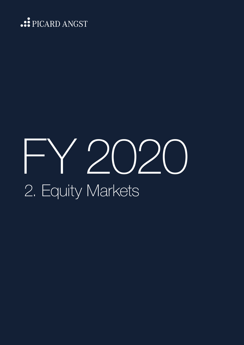

# FY 2020 2. Equity Markets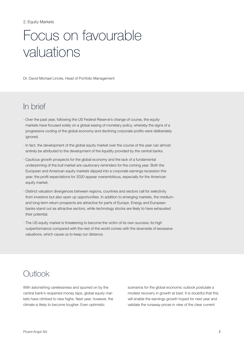# Focus on favourable valuations

Dr. David-Michael Lincke, Head of Portfolio Management

# In brief

- · Over the past year, following the US Federal Reserve's change of course, the equity markets have focused solely on a global easing of monetary policy, whereby the signs of a progressive cooling of the global economy and declining corporate profits were deliberately ignored.
- · In fact, the development of the global equity market over the course of the year can almost entirely be attributed to the development of the liquidity provided by the central banks.
- · Cautious growth prospects for the global economy and the lack of a fundamental underpinning of the bull market are cautionary reminders for the coming year. Both the European and American equity markets slipped into a corporate earnings recession this year; the profit expectations for 2020 appear overambitious, especially for the American equity market.
- · Distinct valuation divergences between regions, countries and sectors call for selectivity from investors but also open up opportunities. In addition to emerging markets, the mediumand long-term return prospects are attractive for parts of Europe. Energy and European banks stand out as attractive sectors, while technology stocks are likely to have exhausted their potential.
- · The US equity market is threatening to become the victim of its own success: its high outperformance compared with the rest of the world comes with the downside of excessive valuations, which cause us to keep our distance.

# **Outlook**

With astonishing carelessness and spurred on by the central bank's reopened money taps, global equity markets have climbed to new highs. Next year, however, the climate is likely to become tougher. Even optimistic

scenarios for the global economic outlook postulate a modest recovery in growth at best. It is doubtful that this will enable the earnings growth hoped for next year and validate the runaway prices in view of the clear current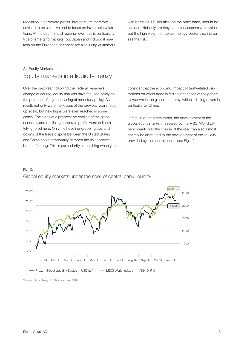recession in corporate profits. Investors are therefore advised to be selective and to focus on favourable valuations. At the country and regional level, this is particularly true of emerging markets, but Japan and individual markets on the European periphery are also luring customers with bargains. US equities, on the other hand, should be avoided. Not only are they extremely expensive to value, but the high weight of the technology sector also increases the risk.

## 2.1 Equity Markets Equity markets in a liquidity frenzy

Over the past year, following the Federal Reserve's change of course, equity markets have focused solely on the prospect of a global easing of monetary policy. As a result, not only were the losses of the previous year made up again, but new highs were even reached in some cases. The signs of a progressive cooling of the global economy and declining corporate profits were deliberately ignored here. Only the headline-grabbing ups and downs of the trade dispute between the United States and China could temporarily dampen the risk appetite, but not for long. This is particularity astonishing when you consider that the economic impact of tariff-related distortions on world trade is fading in the face of the general slowdown in the global economy, which is being driven in particular by China.

In fact, in quantitative terms, the development of the global equity market measured by the MSCI World DM benchmark over the course of the year can also almost entirely be attributed to the development of the liquidity provided by the central banks (see Fig. 12).



# Global equity markets under the spell of central bank liquidity

Source: Bloomberg LP, 29 November 2019

Fig. 12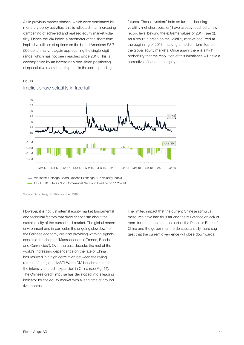As in previous market phases, which were dominated by monetary policy activities, this is reflected in an increasing dampening of achieved and realised equity market volatility. Hence the VIX Index, a barometer of the short-term implied volatilities of options on the broad American S&P 500 benchmark, is again approaching the single-digit range, which has not been reached since 2017. This is accompanied by an increasingly one-sided positioning of speculative market participants in the corresponding

futures. These investors' bets on further declining volatility (net short position) have already reached a new record level beyond the extreme values of 2017 (see 3). As a result, a crash on the volatility market occurred at the beginning of 2018, marking a medium-term top on the global equity markets. Once again, there is a high probability that the resolution of this imbalance will have a corrective effect on the equity markets.

#### Fig. 13 Implicit share volatility in free fall



VIX Index (Chicago Board Options Exchange SPX Volatility Index)

CBOE VIX Futures Non-Commercial Net Long Position on 11/19/19

Source: Bloomberg LP, 29 November 2019

However, it is not just internal equity market fundamental and technical factors that draw scepticism about the sustainability of the current bull market. The global macro environment and in particular the ongoing slowdown of the Chinese economy are also providing warning signals (see also the chapter "Macroeconomic Trends, Bonds and Currencies"). Over the past decade, the rest of the world's increasing dependence on the fate of China has resulted in a high correlation between the rolling returns of the global MSCI World DM benchmark and the intensity of credit expansion in China (see Fig. 14). The Chinese credit impulse has developed into a leading indicator for the equity market with a lead time of around five months.

The limited impact that the current Chinese stimulus measures have had thus far and the reluctance or lack of room for manoeuvre on the part of the People's Bank of China and the government to do substantially more suggest that the current divergence will close downwards.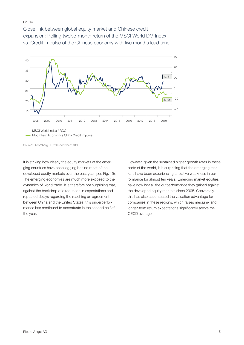#### Fig. 14

Close link between global equity market and Chinese credit expansion: Rolling twelve-month return of the MSCI World DM Index vs. Credit impulse of the Chinese economy with five months lead time





Source: Bloomberg LP, 29 November 2019

It is striking how clearly the equity markets of the emerging countries have been lagging behind most of the developed equity markets over the past year (see Fig. 15). The emerging economies are much more exposed to the dynamics of world trade. It is therefore not surprising that, against the backdrop of a reduction in expectations and repeated delays regarding the reaching an agreement between China and the United States, this underperformance has continued to accentuate in the second half of the year.

However, given the sustained higher growth rates in these parts of the world, it is surprising that the emerging markets have been experiencing a relative weakness in performance for almost ten years. Emerging market equities have now lost all the outperformance they gained against the developed equity markets since 2005. Conversely, this has also accentuated the valuation advantage for companies in these regions, which raises medium- and longer-term return expectations significantly above the OECD average.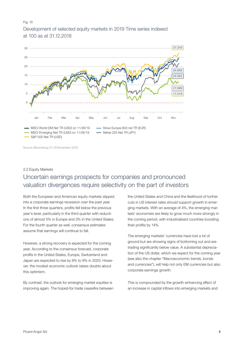#### Fig. 15 Development of selected equity markets in 2019 Time series indexed at 100 as at 31.12.2018



Source: Bloomberg LP, 29 November 2019

# 2.2 Equity Markets Uncertain earnings prospects for companies and pronounced valuation divergences require selectivity on the part of investors

Both the European and American equity markets slipped into a corporate earnings recession over the past year. In the first three quarters, profits fell below the previous year's level, particularly in the third quarter with reductions of almost 5% in Europe and 3% in the United States. For the fourth quarter as well, consensus estimates assume that earnings will continue to fall.

However, a strong recovery is expected for the coming year. According to the consensus forecast, corporate profits in the United States, Europe, Switzerland and Japan are expected to rise by 8% to 9% in 2020. However, the modest economic outlook raises doubts about this optimism.

By contrast, the outlook for emerging market equities is improving again. The hoped-for trade ceasefire between the United States and China and the likelihood of further cuts in US interest rates should support growth in emerging markets. With an average of 4%, the emerging markets' economies are likely to grow much more strongly in the coming period, with industrialised countries boosting their profits by 14%.

The emerging markets' currencies have lost a lot of ground but are showing signs of bottoming out and are trading significantly below value. A substantial depreciation of the US dollar, which we expect for the coming year (see also the chapter "Macroeconomic trends, bonds and currencies"), will help not only EM currencies but also corporate earnings growth.

This is compounded by the growth-enhancing effect of an increase in capital inflows into emerging markets and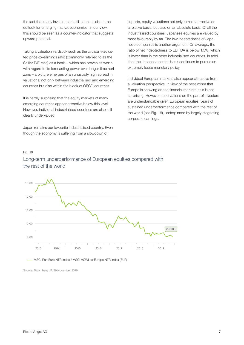the fact that many investors are still cautious about the outlook for emerging market economies. In our view, this should be seen as a counter-indicator that suggests upward potential.

Taking a valuation yardstick such as the cyclically-adjusted price-to-earnings ratio (commonly referred to as the Shiller P/E ratio) as a basis – which has proven its worth with regard to its forecasting power over longer time horizons – a picture emerges of an unusually high spread in valuations, not only between industrialised and emerging countries but also within the block of OECD countries.

It is hardly surprising that the equity markets of many emerging countries appear attractive below this level. However, individual industrialised countries are also still clearly undervalued.

Japan remains our favourite industrialised country. Even though the economy is suffering from a slowdown of

exports, equity valuations not only remain attractive on a relative basis, but also on an absolute basis. Of all the industrialised countries, Japanese equities are valued by most favourably by far. The low indebtedness of Japanese companies is another argument: On average, the ratio of net indebtedness to EBITDA is below 1.5%, which is lower than in the other industrialised countries. In addition, the Japanese central bank continues to pursue an extremely loose monetary policy.

Individual European markets also appear attractive from a valuation perspective. In view of the pessimism that Europe is showing on the financial markets, this is not surprising. However, reservations on the part of investors are understandable given European equities' years of sustained underperformance compared with the rest of the world (see Fig. 16), underpinned by largely stagnating corporate earnings.

#### Fig. 16 Long-term underperformance of European equities compared with the rest of the world



- MSCI Pan Euro NTR Index / MSCI ACWI ex-Europe NTR Index (EUR)

Source: Bloomberg LP, 29 November 2019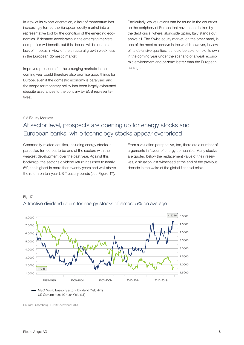In view of its export orientation, a lack of momentum has increasingly turned the European equity market into a representative tool for the condition of the emerging economies. If demand accelerates in the emerging markets, companies will benefit, but this decline will be due to a lack of impetus in view of the structural growth weakness in the European domestic market.

Improved prospects for the emerging markets in the coming year could therefore also promise good things for Europe, even if the domestic economy is paralysed and the scope for monetary policy has been largely exhausted (despite assurances to the contrary by ECB representatives).

Particularly low valuations can be found in the countries on the periphery of Europe that have been shaken by the debt crisis, where, alongside Spain, Italy stands out above all. The Swiss equity market, on the other hand, is one of the most expensive in the world; however, in view of its defensive qualities, it should be able to hold its own in the coming year under the scenario of a weak economic environment and perform better than the European average.

#### 2.3 Equity Markets

# At sector level, prospects are opening up for energy stocks and European banks, while technology stocks appear overpriced

Commodity-related equities, including energy stocks in particular, turned out to be one of the sectors with the weakest development over the past year. Against this backdrop, the sector's dividend return has risen to nearly 5%, the highest in more than twenty years and well above the return on ten-year US Treasury bonds (see Figure 17).

From a valuation perspective, too, there are a number of arguments in favour of energy companies. Many stocks are quoted below the replacement value of their reserves, a situation last witnessed at the end of the previous decade in the wake of the global financial crisis.



#### Fig. 17 Attractive dividend return for energy stocks of almost 5% on average

Source: Bloomberg LP, 29 November 2019

- US Govermment 10 Year Yield (L1)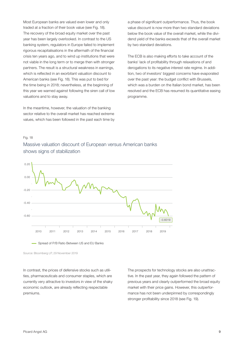Most European banks are valued even lower and only traded at a fraction of their book value (see Fig. 18). The recovery of the broad equity market over the past year has been largely overlooked. In contrast to the US banking system, regulators in Europe failed to implement rigorous recapitalisations in the aftermath of the financial crisis ten years ago, and to wind up institutions that were not viable in the long term or to merge then with stronger partners. The result is a structural weakness in earnings, which is reflected in an exorbitant valuation discount to American banks (see Fig. 18). This was put to bed for the time being in 2018; nevertheless, at the beginning of this year we warned against following the siren call of low valuations and to stay away.

In the meantime, however, the valuation of the banking sector relative to the overall market has reached extreme values, which has been followed in the past each time by a phase of significant outperformance. Thus, the book value discount is now more than two standard deviations below the book value of the overall market, while the dividend yield of the banks exceeds that of the overall market by two standard deviations.

The ECB is also making efforts to take account of the banks' lack of profitability through relaxations of and derogations to its negative interest rate regime. In addition, two of investors' biggest concerns have evaporated over the past year: the budget conflict with Brussels, which was a burden on the Italian bond market, has been resolved and the ECB has resumed its quantitative easing programme.

#### Fig. 18

#### Massive valuation discount of European versus American banks shows signs of stabilization



Spread of P/B Ratio Between US and EU Banks

Source: Bloomberg LP, 29 November 2019

In contrast, the prices of defensive stocks such as utilities, pharmaceuticals and consumer staples, which are currently very attractive to investors in view of the shaky economic outlook, are already reflecting respectable premiums.

The prospects for technology stocks are also unattractive. In the past year, they again followed the pattern of previous years and clearly outperformed the broad equity market with their price gains. However, this outperformance has not been underpinned by correspondingly stronger profitability since 2018 (see Fig. 19).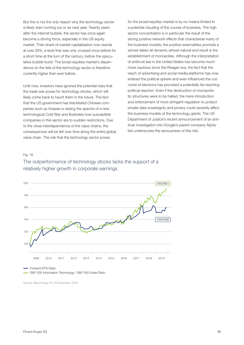But this is not the only reason why the technology sector is likely start running out or air next year. Twenty years after the internet bubble, the sector has once again become a driving force, especially in the US equity market. Their share of market capitalisation now stands at over 25%, a level that was only crossed once before for a short time at the turn of the century, before the speculative bubble burst. The broad equities market's dependence on the fate of the technology sector is therefore currently higher than ever before.

Until now, investors have ignored the potential risks that the trade war poses for technology stocks, which will likely come back to haunt them in the future. The fact that the US government has blacklisted Chinese companies such as Huawei is raising the spectre of a new technological Cold War and illustrates how susceptible companies in this sector are to sudden restrictions. Due to the close interdependence of the value chains, the consequences will be felt over time along the entire global value chain. The risk that the technology sector poses

for the broad equities market is by no means limited to a potential clouding of the course of business. The high sector concentration is in particular the result of the strong positive network effects that characterise many of the business models; the positive externalities promote a winner-takes-all dynamic whose natural end result is the establishment of monopolies. Although the interpretation of antitrust law in the United States has become much more cautious since the Reagan era, the fact that the reach of advertising and social media platforms has now entered the political sphere and even influenced the outcome of elections has provoked a potentially far-reaching political reaction. Even if the destruction of monopolistic structures were to be halted, the mere introduction and enforcement of more stringent regulation to protect private data sovereignty and privacy could severely affect the business models of the technology giants. The US Department of Justice's recent announcement of an antitrust investigation into Google's parent company Alphabet underscores the seriousness of this risk.

#### Fig. 19



#### The outperformance of technology stocks lacks the support of a relatively higher growth in corporate earnings

Source: Bloomberg LP, 29 November 2019

S&P 500 Information Technology / S&P 500 Index Ratio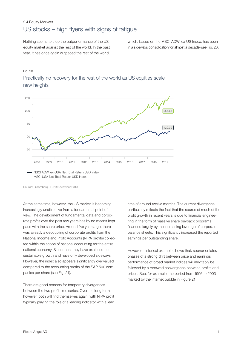#### 2.4 Equity Markets US stocks – high flyers with signs of fatigue

Nothing seems to stop the outperformance of the US equity market against the rest of the world. In the past year, it has once again outpaced the rest of the world,

which, based on the MSCI ACWI ex-US Index, has been in a sideways consolidation for almost a decade (see Fig. 20).

#### Fig. 20





NSCI ACWI ex-USA Net Total Return USD Index

- MSCI USA Net Total Return USD Index

Source: Bloomberg LP, 29 November 2019

At the same time, however, the US market is becoming increasingly unattractive from a fundamental point of view. The development of fundamental data and corporate profits over the past few years has by no means kept pace with the share price. Around five years ago, there was already a decoupling of corporate profits from the National Income and Profit Accounts (NIPA profits) collected within the scope of national accounting for the entire national economy. Since then, they have exhibited no sustainable growth and have only developed sideways. However, the index also appears significantly overvalued compared to the accounting profits of the S&P 500 companies per share (see Fig. 21).

There are good reasons for temporary divergences between the two profit time series. Over the long term, however, both will find themselves again, with NIPA profit typically playing the role of a leading indicator with a lead time of around twelve months. The current divergence particularly reflects the fact that the source of much of the profit growth in recent years is due to financial engineering in the form of massive share buyback programs financed largely by the increasing leverage of corporate balance sheets. This significantly increased the reported earnings per outstanding share.

However, historical example shows that, sooner or later, phases of a strong drift between price and earnings performance of broad market indices will inevitably be followed by a renewed convergence between profits and prices. See, for example, the period from 1996 to 2003 marked by the internet bubble in Figure 21.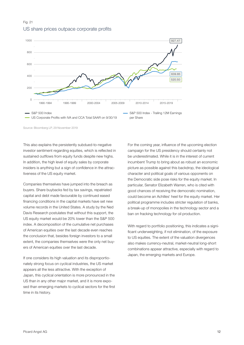#### Fig. 21 US share prices outpace corporate profits



Source: Bloomberg LP, 29 November 2019

This also explains the persistently subdued-to-negative investor sentiment regarding equities, which is reflected in sustained outflows from equity funds despite new highs. In addition, the high level of equity sales by corporate insiders is anything but a sign of confidence in the attractiveness of the US equity market.

Companies themselves have jumped into the breach as buyers. Share buybacks fed by tax savings, repatriated capital and debt made favourable by continued eased financing conditions in the capital markets have set new volume records in the United States. A study by the Ned Davis Research postulates that without this support, the US equity market would be 20% lower than the S&P 500 index. A decomposition of the cumulative net purchases of American equities over the last decade even reaches the conclusion that, besides foreign investors to a small extent, the companies themselves were the only net buyers of American equities over the last decade.

If one considers its high valuation and its disproportionately strong focus on cyclical industries, the US market appears all the less attractive. With the exception of Japan, this cyclical orientation is more pronounced in the US than in any other major market, and it is more exposed than emerging markets to cyclical sectors for the first time in its history.

For the coming year, influence of the upcoming election campaign for the US presidency should certainly not be underestimated. While it is in the interest of current incumbent Trump to bring about as robust an economic picture as possible against this backdrop, the ideological character and political goals of various opponents on the Democratic side pose risks for the equity market. In particular, Senator Elizabeth Warren, who is cited with good chances of receiving the democratic nomination, could become an Achilles' heel for the equity market. Her political programme includes stricter regulation of banks, a break-up of monopolies in the technology sector and a ban on fracking technology for oil production.

With regard to portfolio positioning, this indicates a significant underweighting, if not elimination, of the exposure to US equities. The extent of the valuation divergences also makes currency-neutral, market-neutral long-short combinations appear attractive, especially with regard to Japan, the emerging markets and Europe.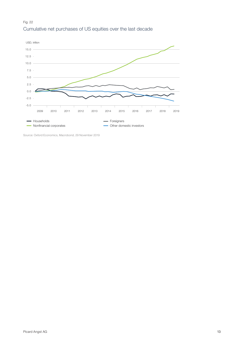#### Fig. 22 Cumulative net purchases of US equities over the last decade



Source: Oxford Economics, Macrobond, 29 November 2019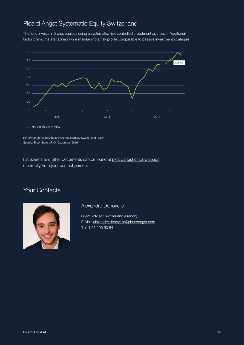# Picard Angst Systematic Equity Switzerland

The fund invests in Swiss equities using a systematic, risk-controlled investment approach. Additional factor premiums are tapped while maintaining a risk profile comparable to passive investment strategies.



Performance Picard Angst Systematic Equity Switzerland I CHF Source: Bloomberg LP, 04 December 2019

Factsheets and other documents can be found at [picardangst.ch/downloads](https://www.picardangst.ch/en/downloads#filtering,search:Systematic%20Equity%20Switzerland) or directly from your contact person.

# Your Contacts



#### Alexandre Denoyelle

Client Advisor Switzerland (French) E-Mail: [alexandre.denoyelle@picardangst.com](mailto:alexandre.denoyelle%40picardangst.com?subject=FY%202020%20Outlook%20and%20Comment) T +41 55 290 50 84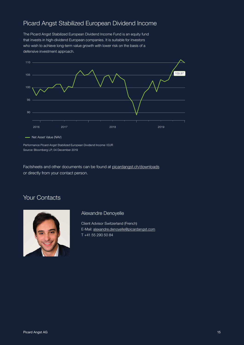# Picard Angst Stabilized European Dividend Income

The Picard Angst Stabilized European Dividend Income Fund is an equity fund that invests in high-dividend European companies. It is suitable for investors who wish to achieve long-term value growth with lower risk on the basis of a defensive investment approach.



Performance Picard Angst Stabilized European Dividend Income I EUR Source: Bloomberg LP, 04 December 2019

Factsheets and other documents can be found at [picardangst.ch/downloads](https://www.picardangst.ch/en/downloads#filtering,search:Stabilized%20European%20Dividend%20Income) or directly from your contact person.

# Your Contacts



#### Alexandre Denoyelle

Client Advisor Switzerland (French) E-Mail: [alexandre.denoyelle@picardangst.com](mailto:alexandre.denoyelle%40picardangst.com?subject=FY%202020%20Outlook%20and%20Comment) T +41 55 290 50 84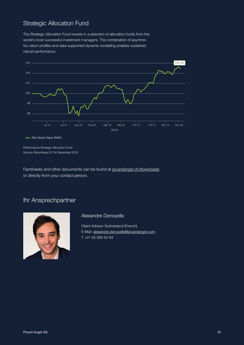# Strategic Allocation Fund

The Strategic Allocation Fund invests in a selection of allocation funds from the world's most successful investment managers. The combination of asymmetric return profiles and data-supported dynamic modelling enables sustained robust performance.



- Net Asset Value (NAV)

Performance Strategic Allocation Fund Source: Bloomberg LP, 04 December 2019

Factsheets and other documents can be found at [picardangst.ch/downloads](https://www.picardangst.ch/en/downloads#filtering,search:Strategic%20Allocation%20Fund) or directly from your contact person.

## Ihr Ansprechpartner



Alexandre Denoyelle

Client Advisor Switzerland (French) E-Mail: [alexandre.denoyelle@picardangst.com](mailto:alexandre.denoyelle%40picardangst.com?subject=FY%202020%20Outlook%20and%20Comment) T +41 55 290 50 84